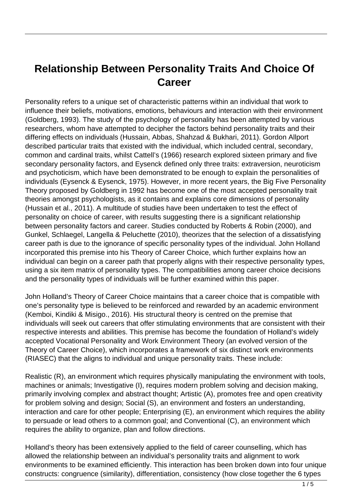## **Relationship Between Personality Traits And Choice Of Career**

Personality refers to a unique set of characteristic patterns within an individual that work to influence their beliefs, motivations, emotions, behaviours and interaction with their environment (Goldberg, 1993). The study of the psychology of personality has been attempted by various researchers, whom have attempted to decipher the factors behind personality traits and their differing effects on individuals (Hussain, Abbas, Shahzad & Bukhari, 2011). Gordon Allport described particular traits that existed with the individual, which included central, secondary, common and cardinal traits, whilst Cattell's (1966) research explored sixteen primary and five secondary personality factors, and Eysenck defined only three traits: extraversion, neuroticism and psychoticism, which have been demonstrated to be enough to explain the personalities of individuals (Eysenck & Eysenck, 1975). However, in more recent years, the Big Five Personality Theory proposed by Goldberg in 1992 has become one of the most accepted personality trait theories amongst psychologists, as it contains and explains core dimensions of personality (Hussain et al., 2011). A multitude of studies have been undertaken to test the effect of personality on choice of career, with results suggesting there is a significant relationship between personality factors and career. Studies conducted by Roberts & Robin (2000), and Gunkel, Schlaegel, Langella & Peluchette (2010), theorizes that the selection of a dissatisfying career path is due to the ignorance of specific personality types of the individual. John Holland incorporated this premise into his Theory of Career Choice, which further explains how an individual can begin on a career path that properly aligns with their respective personality types, using a six item matrix of personality types. The compatibilities among career choice decisions and the personality types of individuals will be further examined within this paper.

John Holland's Theory of Career Choice maintains that a career choice that is compatible with one's personality type is believed to be reinforced and rewarded by an academic environment (Kemboi, Kindiki & Misigo., 2016). His structural theory is centred on the premise that individuals will seek out careers that offer stimulating environments that are consistent with their respective interests and abilities. This premise has become the foundation of Holland's widely accepted Vocational Personality and Work Environment Theory (an evolved version of the Theory of Career Choice), which incorporates a framework of six distinct work environments (RIASEC) that the aligns to individual and unique personality traits. These include:

Realistic (R), an environment which requires physically manipulating the environment with tools, machines or animals; Investigative (I), requires modern problem solving and decision making, primarily involving complex and abstract thought; Artistic (A), promotes free and open creativity for problem solving and design; Social (S), an environment and fosters an understanding, interaction and care for other people; Enterprising (E), an environment which requires the ability to persuade or lead others to a common goal; and Conventional (C), an environment which requires the ability to organize, plan and follow directions.

Holland's theory has been extensively applied to the field of career counselling, which has allowed the relationship between an individual's personality traits and alignment to work environments to be examined efficiently. This interaction has been broken down into four unique constructs: congruence (similarity), differentiation, consistency (how close together the 6 types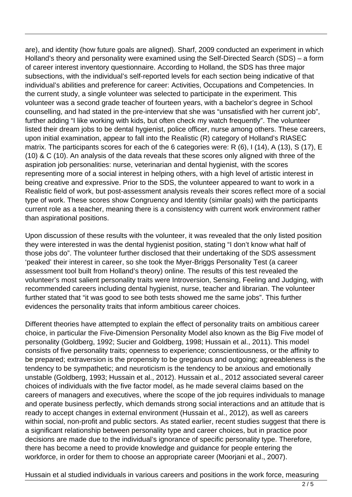are), and identity (how future goals are aligned). Sharf, 2009 conducted an experiment in which Holland's theory and personality were examined using the Self-Directed Search (SDS) – a form of career interest inventory questionnaire. According to Holland, the SDS has three major subsections, with the individual's self-reported levels for each section being indicative of that individual's abilities and preference for career: Activities, Occupations and Competencies. In the current study, a single volunteer was selected to participate in the experiment. This volunteer was a second grade teacher of fourteen years, with a bachelor's degree in School counselling, and had stated in the pre-interview that she was "unsatisfied with her current job", further adding "I like working with kids, but often check my watch frequently". The volunteer listed their dream jobs to be dental hygienist, police officer, nurse among others. These careers, upon initial examination, appear to fall into the Realistic (R) category of Holland's RIASEC matrix. The participants scores for each of the 6 categories were: R (6), I (14), A (13), S (17), E (10) & C (10). An analysis of the data reveals that these scores only aligned with three of the aspiration job personalities: nurse, veterinarian and dental hygienist, with the scores representing more of a social interest in helping others, with a high level of artistic interest in being creative and expressive. Prior to the SDS, the volunteer appeared to want to work in a Realistic field of work, but post-assessment analysis reveals their scores reflect more of a social type of work. These scores show Congruency and Identity (similar goals) with the participants current role as a teacher, meaning there is a consistency with current work environment rather than aspirational positions.

Upon discussion of these results with the volunteer, it was revealed that the only listed position they were interested in was the dental hygienist position, stating "I don't know what half of those jobs do". The volunteer further disclosed that their undertaking of the SDS assessment 'peaked' their interest in career, so she took the Myer-Briggs Personality Test (a career assessment tool built from Holland's theory) online. The results of this test revealed the volunteer's most salient personality traits were Introversion, Sensing, Feeling and Judging, with recommended careers including dental hygienist, nurse, teacher and librarian. The volunteer further stated that "it was good to see both tests showed me the same jobs". This further evidences the personality traits that inform ambitious career choices.

Different theories have attempted to explain the effect of personality traits on ambitious career choice, in particular the Five-Dimension Personality Model also known as the Big Five model of personality (Goldberg, 1992; Sucier and Goldberg, 1998; Hussain et al., 2011). This model consists of five personality traits; openness to experience; conscientiousness, or the affinity to be prepared; extraversion is the propensity to be gregarious and outgoing; agreeableness is the tendency to be sympathetic; and neuroticism is the tendency to be anxious and emotionally unstable (Goldberg, 1993; Hussain et al., 2012). Hussain et al., 2012 associated several career choices of individuals with the five factor model, as he made several claims based on the careers of managers and executives, where the scope of the job requires individuals to manage and operate business perfectly, which demands strong social interactions and an attitude that is ready to accept changes in external environment (Hussain et al., 2012), as well as careers within social, non-profit and public sectors. As stated earlier, recent studies suggest that there is a significant relationship between personality type and career choices, but in practice poor decisions are made due to the individual's ignorance of specific personality type. Therefore, there has become a need to provide knowledge and guidance for people entering the workforce, in order for them to choose an appropriate career (Moorjani et al., 2007).

Hussain et al studied individuals in various careers and positions in the work force, measuring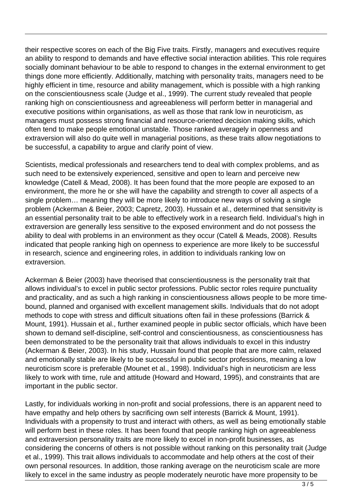their respective scores on each of the Big Five traits. Firstly, managers and executives require an ability to respond to demands and have effective social interaction abilities. This role requires socially dominant behaviour to be able to respond to changes in the external environment to get things done more efficiently. Additionally, matching with personality traits, managers need to be highly efficient in time, resource and ability management, which is possible with a high ranking on the conscientiousness scale (Judge et al., 1999). The current study revealed that people ranking high on conscientiousness and agreeableness will perform better in managerial and executive positions within organisations, as well as those that rank low in neuroticism, as managers must possess strong financial and resource-oriented decision making skills, which often tend to make people emotional unstable. Those ranked averagely in openness and extraversion will also do quite well in managerial positions, as these traits allow negotiations to be successful, a capability to argue and clarify point of view.

Scientists, medical professionals and researchers tend to deal with complex problems, and as such need to be extensively experienced, sensitive and open to learn and perceive new knowledge (Catell & Mead, 2008). It has been found that the more people are exposed to an environment, the more he or she will have the capability and strength to cover all aspects of a single problem… meaning they will be more likely to introduce new ways of solving a single problem (Ackerman & Beier, 2003; Capretz, 2003). Hussain et al., determined that sensitivity is an essential personality trait to be able to effectively work in a research field. Individual's high in extraversion are generally less sensitive to the exposed environment and do not possess the ability to deal with problems in an environment as they occur (Catell & Meads, 2008). Results indicated that people ranking high on openness to experience are more likely to be successful in research, science and engineering roles, in addition to individuals ranking low on extraversion.

Ackerman & Beier (2003) have theorised that conscientiousness is the personality trait that allows individual's to excel in public sector professions. Public sector roles require punctuality and practicality, and as such a high ranking in conscientiousness allows people to be more timebound, planned and organised with excellent management skills. Individuals that do not adopt methods to cope with stress and difficult situations often fail in these professions (Barrick & Mount, 1991). Hussain et al., further examined people in public sector officials, which have been shown to demand self-discipline, self-control and conscientiousness, as conscientiousness has been demonstrated to be the personality trait that allows individuals to excel in this industry (Ackerman & Beier, 2003). In his study, Hussain found that people that are more calm, relaxed and emotionally stable are likely to be successful in public sector professions, meaning a low neuroticism score is preferable (Mounet et al., 1998). Individual's high in neuroticism are less likely to work with time, rule and attitude (Howard and Howard, 1995), and constraints that are important in the public sector.

Lastly, for individuals working in non-profit and social professions, there is an apparent need to have empathy and help others by sacrificing own self interests (Barrick & Mount, 1991). Individuals with a propensity to trust and interact with others, as well as being emotionally stable will perform best in these roles. It has been found that people ranking high on agreeableness and extraversion personality traits are more likely to excel in non-profit businesses, as considering the concerns of others is not possible without ranking on this personality trait (Judge et al., 1999). This trait allows individuals to accommodate and help others at the cost of their own personal resources. In addition, those ranking average on the neuroticism scale are more likely to excel in the same industry as people moderately neurotic have more propensity to be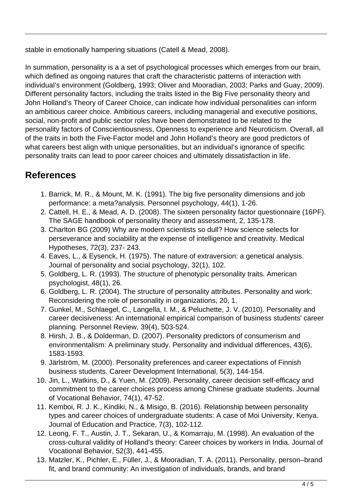stable in emotionally hampering situations (Catell & Mead, 2008).

In summation, personality is a a set of psychological processes which emerges from our brain, which defined as ongoing natures that craft the characteristic patterns of interaction with individual's environment (Goldberg, 1993; Oliver and Mooradian, 2003; Parks and Guay, 2009). Different personality factors, including the traits listed in the Big Five personality theory and John Holland's Theory of Career Choice, can indicate how individual personalities can inform an ambitious career choice. Ambitious careers, including managerial and executive positions, social, non-profit and public sector roles have been demonstrated to be related to the personality factors of Conscientiousness, Openness to experience and Neuroticism. Overall, all of the traits in both the Five-Factor model and John Holland's theory are good predictors of what careers best align with unique personalities, but an individual's ignorance of specific personality traits can lead to poor career choices and ultimately dissatisfaction in life.

## **References**

- 1. Barrick, M. R., & Mount, M. K. (1991). The big five personality dimensions and job performance: a meta?analysis. Personnel psychology, 44(1), 1-26.
- 2. Cattell, H. E., & Mead, A. D. (2008). The sixteen personality factor questionnaire (16PF). The SAGE handbook of personality theory and assessment, 2, 135-178.
- 3. Charlton BG (2009) Why are modern scientists so dull? How science selects for perseverance and sociability at the expense of intelligence and creativity. Medical Hypotheses, 72(3), 237- 243.
- 4. Eaves, L., & Eysenck, H. (1975). The nature of extraversion: a genetical analysis. Journal of personality and social psychology, 32(1), 102.
- 5. Goldberg, L. R. (1993). The structure of phenotypic personality traits. American psychologist, 48(1), 26.
- 6. Goldberg, L. R. (2004). The structure of personality attributes. Personality and work: Reconsidering the role of personality in organizations, 20, 1.
- 7. Gunkel, M., Schlaegel, C., Langella, I. M., & Peluchette, J. V. (2010). Personality and career decisiveness: An international empirical comparison of business students' career planning. Personnel Review, 39(4), 503-524.
- 8. Hirsh, J. B., & Dolderman, D. (2007). Personality predictors of consumerism and environmentalism: A preliminary study. Personality and individual differences, 43(6), 1583-1593.
- 9. Järlström, M. (2000). Personality preferences and career expectations of Finnish business students. Career Development International, 5(3), 144-154.
- 10. Jin, L., Watkins, D., & Yuen, M. (2009). Personality, career decision self-efficacy and commitment to the career choices process among Chinese graduate students. Journal of Vocational Behavior, 74(1), 47-52.
- 11. Kemboi, R. J. K., Kindiki, N., & Misigo, B. (2016). Relationship between personality types and career choices of undergraduate students: A case of Moi University, Kenya. Journal of Education and Practice, 7(3), 102-112.
- 12. Leong, F. T., Austin, J. T., Sekaran, U., & Komarraju, M. (1998). An evaluation of the cross-cultural validity of Holland's theory: Career choices by workers in India. Journal of Vocational Behavior, 52(3), 441-455.
- 13. Matzler, K., Pichler, E., Füller, J., & Mooradian, T. A. (2011). Personality, person–brand fit, and brand community: An investigation of individuals, brands, and brand